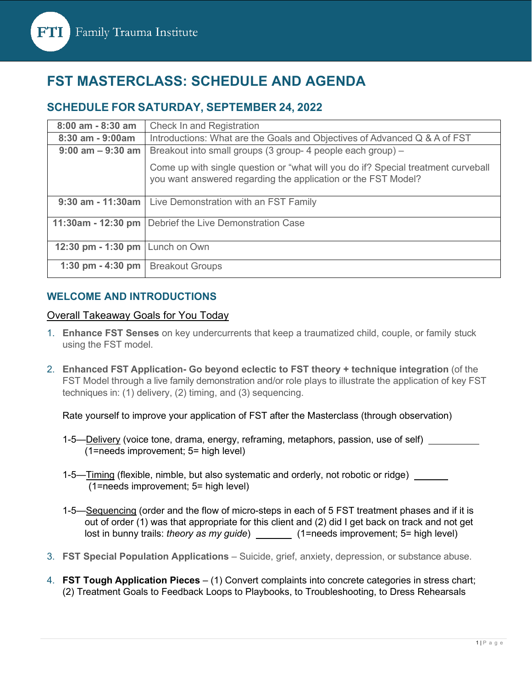

# **FST MASTERCLASS: SCHEDULE AND AGENDA**

### **SCHEDULE FOR SATURDAY, SEPTEMBER 24, 2022**

| 8:00 am - 8:30 am    | <b>Check In and Registration</b>                                                                                                                   |
|----------------------|----------------------------------------------------------------------------------------------------------------------------------------------------|
| 8:30 am - 9:00am     | Introductions: What are the Goals and Objectives of Advanced Q & A of FST                                                                          |
| $9:00$ am $-9:30$ am | Breakout into small groups (3 group- 4 people each group) -                                                                                        |
|                      | Come up with single question or "what will you do if? Special treatment curveball<br>you want answered regarding the application or the FST Model? |
|                      | 9:30 am - 11:30am   Live Demonstration with an FST Family                                                                                          |
| 11:30am - 12:30 pm   | Debrief the Live Demonstration Case                                                                                                                |
| 12:30 pm - 1:30 pm   | Lunch on Own                                                                                                                                       |
| 1:30 pm $-$ 4:30 pm  | <b>Breakout Groups</b>                                                                                                                             |

#### **WELCOME AND INTRODUCTIONS**

#### Overall Takeaway Goals for You Today

- 1. **Enhance FST Senses** on key undercurrents that keep a traumatized child, couple, or family stuck using the FST model.
- 2. **Enhanced FST Application- Go beyond eclectic to FST theory + technique integration** (of the FST Model through a live family demonstration and/or role plays to illustrate the application of key FST techniques in: (1) delivery, (2) timing, and (3) sequencing.

Rate yourself to improve your application of FST after the Masterclass (through observation)

- 1-5—Delivery (voice tone, drama, energy, reframing, metaphors, passion, use of self) \_\_\_\_\_\_\_\_\_ (1=needs improvement; 5= high level)
- 1-5—Timing (flexible, nimble, but also systematic and orderly, not robotic or ridge) (1=needs improvement; 5= high level)
- 1-5—Sequencing (order and the flow of micro-steps in each of 5 FST treatment phases and if it is out of order (1) was that appropriate for this client and (2) did I get back on track and not get lost in bunny trails: *theory as my guide*) \_\_\_\_\_\_\_\_ (1=needs improvement; 5= high level)
- 3. **FST Special Population Applications** Suicide, grief, anxiety, depression, or substance abuse.
- 4. **FST Tough Application Pieces**  (1) Convert complaints into concrete categories in stress chart; (2) Treatment Goals to Feedback Loops to Playbooks, to Troubleshooting, to Dress Rehearsals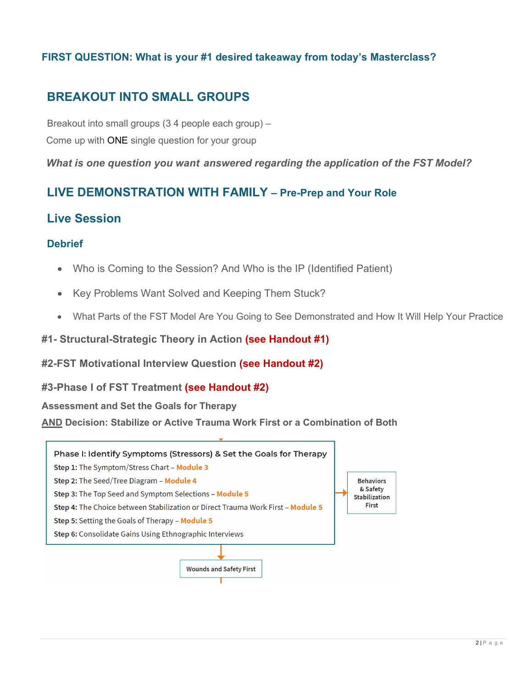### **FIRST QUESTION: What is your #1 desired takeaway from today's Masterclass?**

## **BREAKOUT INTO SMALL GROUPS**

 Breakout into small groups (3 4 people each group) – Come up with ONE single question for your group

*What is one question you want answered regarding the application of the FST Model?*

## **LIVE DEMONSTRATION WITH FAMILY – Pre-Prep and Your Role**

## **Live Session**

#### **Debrief**

- Who is Coming to the Session? And Who is the IP (Identified Patient)
- Key Problems Want Solved and Keeping Them Stuck?
- What Parts of the FST Model Are You Going to See Demonstrated and How It Will Help Your Practice
- **#1- Structural-Strategic Theory in Action (see Handout #1)**

#### **#2-FST Motivational Interview Question (see Handout #2)**

#### **#3-Phase I of FST Treatment (see Handout #2)**

**Assessment and Set the Goals for Therapy** 

**AND Decision: Stabilize or Active Trauma Work First or a Combination of Both**